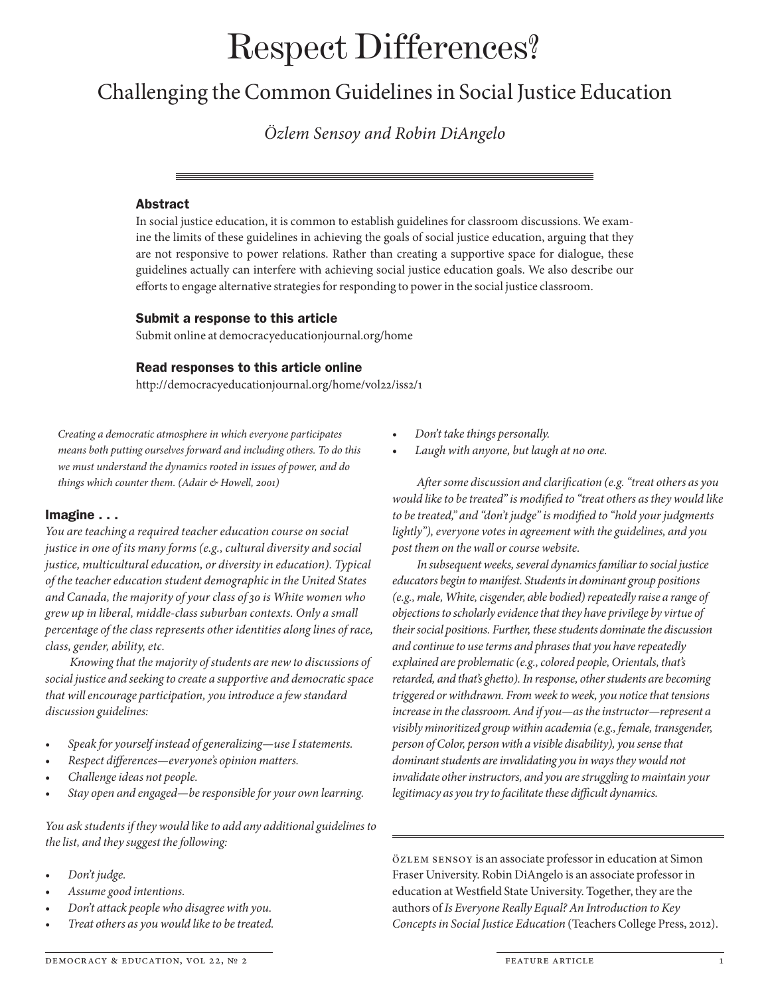# Respect Differences?

# Challenging the Common Guidelines in Social Justice Education

*Özlem Sensoy and Robin DiAngelo*

#### Abstract

In social justice education, it is common to establish guidelines for classroom discussions. We examine the limits of these guidelines in achieving the goals of social justice education, arguing that they are not responsive to power relations. Rather than creating a supportive space for dialogue, these guidelines actually can interfere with achieving social justice education goals. We also describe our eforts to engage alternative strategies for responding to power in the social justice classroom.

#### Submit a response to this article

Submit online at democracyeducationjournal.org/home

#### Read responses to this article online

http://democracyeducationjournal.org/home/vol22/iss2/1

*Creating a democratic atmosphere in which everyone participates means both putting ourselves forward and including others. To do this we must understand the dynamics rooted in issues of power, and do things which counter them. (Adair & Howell,* 2001*)*

## Imagine . . .

*You are teaching a required teacher education course on social justice in one of its many forms (e.g., cultural diversity and social justice, multicultural education, or diversity in education). Typical of the teacher education student demographic in the United States and Canada, the majority of your class of* 30 *is White women who grew up in liberal, middle-class suburban contexts. Only a small percentage of the class represents other identities along lines of race, class, gender, ability, etc.*

*Knowing that the majority of students are new to discussions of social justice and seeking to create a supportive and democratic space that will encourage participation, you introduce a few standard discussion guidelines:*

- t *Speak for yourself instead of generalizing—use I statements.*
- t *Respect di*f*erences—everyone's opinion matters.*
- Challenge ideas not people.
- t *Stay open and engaged—be responsible for your own learning.*

*You ask students if they would like to add any additional guidelines to the list, and they suggest the following:*

- t *Don't judge.*
- t *Assume good intentions.*
- t *Don't attack people who disagree with you.*
- t *Treat others as you would like to be treated.*
- t *Don't take things personally.*
- Laugh with anyone, but laugh at no one.

*A*f*er some discussion and clari*f*cation (e.g. "treat others as you would like to be treated" is modi*f*ed to "treat others as they would like to be treated," and "don't judge" is modi*f*ed to "hold your judgments lightly"), everyone votes in agreement with the guidelines, and you post them on the wall or course website.*

*In subsequent weeks, several dynamics familiar to social justice educators begin to manifest. Students in dominant group positions (e.g., male, White, cisgender, able bodied) repeatedly raise a range of objections to scholarly evidence that they have privilege by virtue of their social positions. Further, these students dominate the discussion and continue to use terms and phrases that you have repeatedly explained are problematic (e.g., colored people, Orientals, that's retarded, and that's ghetto). In response, other students are becoming triggered or withdrawn. From week to week, you notice that tensions increase in the classroom. And if you—as the instructor—represent a visibly minoritized group within academia (e.g., female, transgender, person of Color, person with a visible disability), you sense that dominant students are invalidating you in ways they would not invalidate other instructors, and you are struggling to maintain your*  legitimacy as you try to facilitate these difficult dynamics.

Özlem Sensoy is an associate professor in education at Simon Fraser University. Robin DiAngelo is an associate professor in education at Westfeld State University. Together, they are the authors of *Is Everyone Really Equal? An Introduction to Key Concepts in Social Justice Education* (Teachers College Press, 2012).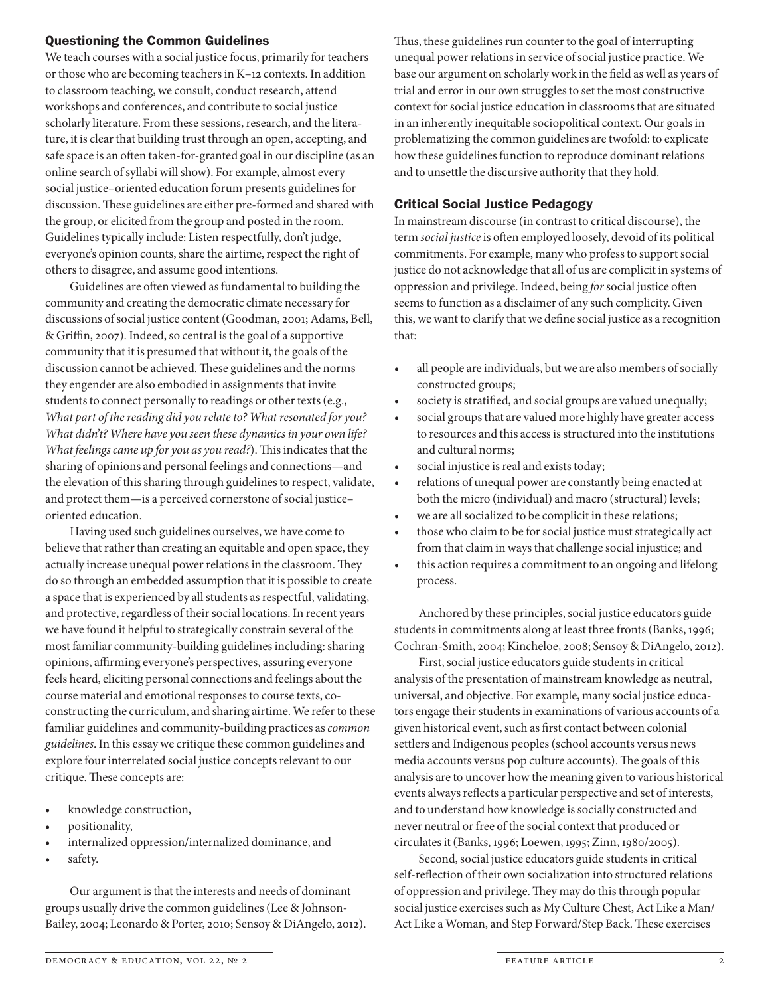## Questioning the Common Guidelines

We teach courses with a social justice focus, primarily for teachers or those who are becoming teachers in K–12 contexts. In addition to classroom teaching, we consult, conduct research, attend workshops and conferences, and contribute to social justice scholarly literature. From these sessions, research, and the literature, it is clear that building trust through an open, accepting, and safe space is an often taken-for-granted goal in our discipline (as an online search of syllabi will show). For example, almost every social justice–oriented education forum presents guidelines for discussion. These guidelines are either pre-formed and shared with the group, or elicited from the group and posted in the room. Guidelines typically include: Listen respectfully, don't judge, everyone's opinion counts, share the airtime, respect the right of others to disagree, and assume good intentions.

Guidelines are often viewed as fundamental to building the community and creating the democratic climate necessary for discussions of social justice content (Goodman, 2001; Adams, Bell, & Grifn, 2007). Indeed, so central is the goal of a supportive community that it is presumed that without it, the goals of the discussion cannot be achieved. These guidelines and the norms they engender are also embodied in assignments that invite students to connect personally to readings or other texts (e.g., *What part of the reading did you relate to? What resonated for you? What didn't? Where have you seen these dynamics in your own life? What feelings came up for you as you read?*). This indicates that the sharing of opinions and personal feelings and connections—and the elevation of this sharing through guidelines to respect, validate, and protect them—is a perceived cornerstone of social justice– oriented education.

Having used such guidelines ourselves, we have come to believe that rather than creating an equitable and open space, they actually increase unequal power relations in the classroom. They do so through an embedded assumption that it is possible to create a space that is experienced by all students as respectful, validating, and protective, regardless of their social locations. In recent years we have found it helpful to strategically constrain several of the most familiar community-building guidelines including: sharing opinions, affirming everyone's perspectives, assuring everyone feels heard, eliciting personal connections and feelings about the course material and emotional responses to course texts, coconstructing the curriculum, and sharing airtime. We refer to these familiar guidelines and community-building practices as *common guidelines*. In this essay we critique these common guidelines and explore four interrelated social justice concepts relevant to our critique. These concepts are:

- knowledge construction,
- positionality,
- internalized oppression/internalized dominance, and
- safety.

Our argument is that the interests and needs of dominant groups usually drive the common guidelines (Lee & Johnson-Bailey, 2004; Leonardo & Porter, 2010; Sensoy & DiAngelo, 2012). Thus, these guidelines run counter to the goal of interrupting unequal power relations in service of social justice practice. We base our argument on scholarly work in the feld as well as years of trial and error in our own struggles to set the most constructive context for social justice education in classrooms that are situated in an inherently inequitable sociopolitical context. Our goals in problematizing the common guidelines are twofold: to explicate how these guidelines function to reproduce dominant relations and to unsettle the discursive authority that they hold.

# Critical Social Justice Pedagogy

In mainstream discourse (in contrast to critical discourse), the term *social justice* is often employed loosely, devoid of its political commitments. For example, many who profess to support social justice do not acknowledge that all of us are complicit in systems of oppression and privilege. Indeed, being *for* social justice ofen seems to function as a disclaimer of any such complicity. Given this, we want to clarify that we defne social justice as a recognition that:

- all people are individuals, but we are also members of socially constructed groups;
- society is stratified, and social groups are valued unequally;
- social groups that are valued more highly have greater access to resources and this access is structured into the institutions and cultural norms;
- social injustice is real and exists today;
- relations of unequal power are constantly being enacted at both the micro (individual) and macro (structural) levels;
- we are all socialized to be complicit in these relations;
- those who claim to be for social justice must strategically act from that claim in ways that challenge social injustice; and
- $\bullet$  this action requires a commitment to an ongoing and lifelong process.

Anchored by these principles, social justice educators guide students in commitments along at least three fronts (Banks, 1996; Cochran-Smith, 2004; Kincheloe, 2008; Sensoy & DiAngelo, 2012).

First, social justice educators guide students in critical analysis of the presentation of mainstream knowledge as neutral, universal, and objective. For example, many social justice educators engage their students in examinations of various accounts of a given historical event, such as frst contact between colonial settlers and Indigenous peoples (school accounts versus news media accounts versus pop culture accounts). The goals of this analysis are to uncover how the meaning given to various historical events always refects a particular perspective and set of interests, and to understand how knowledge is socially constructed and never neutral or free of the social context that produced or circulates it (Banks, 1996; Loewen, 1995; Zinn, 1980/2005).

Second, social justice educators guide students in critical self-reflection of their own socialization into structured relations of oppression and privilege. They may do this through popular social justice exercises such as My Culture Chest, Act Like a Man/ Act Like a Woman, and Step Forward/Step Back. These exercises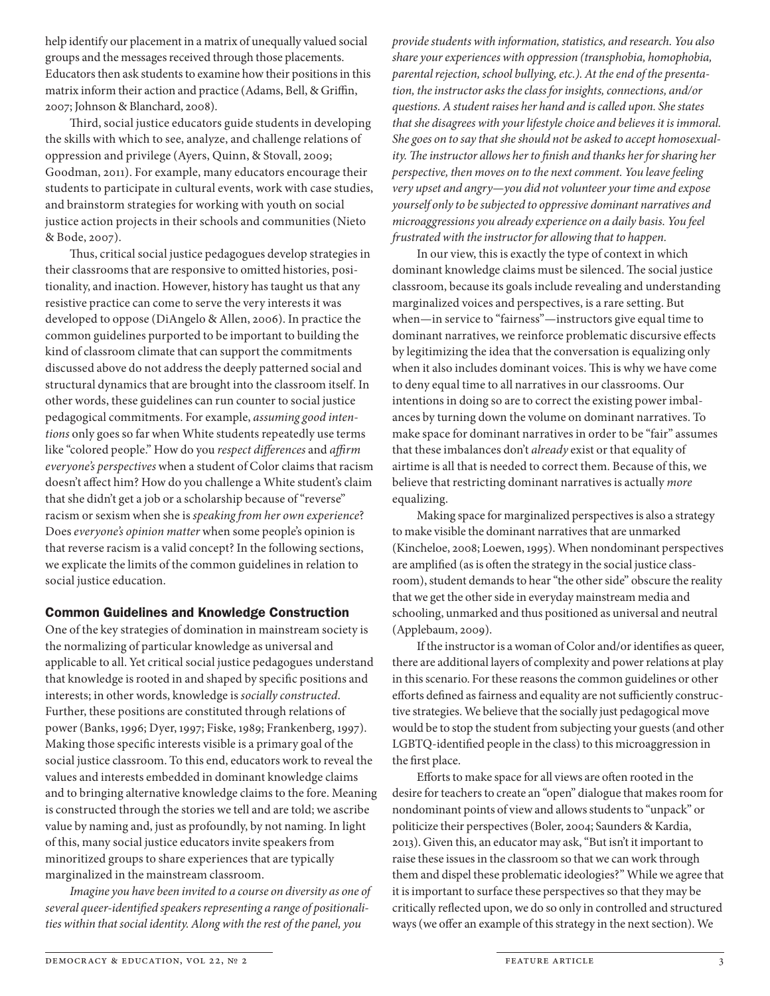help identify our placement in a matrix of unequally valued social groups and the messages received through those placements. Educators then ask students to examine how their positions in this matrix inform their action and practice (Adams, Bell, & Griffin, 2007; Johnson & Blanchard, 2008).

Third, social justice educators guide students in developing the skills with which to see, analyze, and challenge relations of oppression and privilege (Ayers, Quinn, & Stovall, 2009; Goodman, 2011). For example, many educators encourage their students to participate in cultural events, work with case studies, and brainstorm strategies for working with youth on social justice action projects in their schools and communities (Nieto & Bode, 2007).

Thus, critical social justice pedagogues develop strategies in their classrooms that are responsive to omitted histories, positionality, and inaction. However, history has taught us that any resistive practice can come to serve the very interests it was developed to oppose (DiAngelo & Allen, 2006). In practice the common guidelines purported to be important to building the kind of classroom climate that can support the commitments discussed above do not address the deeply patterned social and structural dynamics that are brought into the classroom itself. In other words, these guidelines can run counter to social justice pedagogical commitments. For example, *assuming good intentions* only goes so far when White students repeatedly use terms like "colored people." How do you *respect di*f*erences* and *a*f*rm everyone's perspectives* when a student of Color claims that racism doesn't afect him? How do you challenge a White student's claim that she didn't get a job or a scholarship because of "reverse" racism or sexism when she is *speaking from her own experience*? Does *everyone's opinion matter* when some people's opinion is that reverse racism is a valid concept? In the following sections, we explicate the limits of the common guidelines in relation to social justice education.

## Common Guidelines and Knowledge Construction

One of the key strategies of domination in mainstream society is the normalizing of particular knowledge as universal and applicable to all. Yet critical social justice pedagogues understand that knowledge is rooted in and shaped by specifc positions and interests; in other words, knowledge is *socially constructed*. Further, these positions are constituted through relations of power (Banks, 1996; Dyer, 1997; Fiske, 1989; Frankenberg, 1997). Making those specifc interests visible is a primary goal of the social justice classroom. To this end, educators work to reveal the values and interests embedded in dominant knowledge claims and to bringing alternative knowledge claims to the fore. Meaning is constructed through the stories we tell and are told; we ascribe value by naming and, just as profoundly, by not naming. In light of this, many social justice educators invite speakers from minoritized groups to share experiences that are typically marginalized in the mainstream classroom.

*Imagine you have been invited to a course on diversity as one of several queer-identi*f*ed speakers representing a range of positionalities within that social identity. Along with the rest of the panel, you* 

*provide students with information, statistics, and research. You also share your experiences with oppression (transphobia, homophobia, parental rejection, school bullying, etc.). At the end of the presentation, the instructor asks the class for insights, connections, and/or questions. A student raises her hand and is called upon. She states that she disagrees with your lifestyle choice and believes it is immoral. She goes on to say that she should not be asked to accept homosexuality.* T*e instructor allows her to* f*nish and thanks her for sharing her perspective, then moves on to the next comment. You leave feeling very upset and angry—you did not volunteer your time and expose yourself only to be subjected to oppressive dominant narratives and microaggressions you already experience on a daily basis. You feel frustrated with the instructor for allowing that to happen.*

In our view, this is exactly the type of context in which dominant knowledge claims must be silenced. The social justice classroom, because its goals include revealing and understanding marginalized voices and perspectives, is a rare setting. But when—in service to "fairness"—instructors give equal time to dominant narratives, we reinforce problematic discursive efects by legitimizing the idea that the conversation is equalizing only when it also includes dominant voices. This is why we have come to deny equal time to all narratives in our classrooms. Our intentions in doing so are to correct the existing power imbalances by turning down the volume on dominant narratives. To make space for dominant narratives in order to be "fair" assumes that these imbalances don't *already* exist or that equality of airtime is all that is needed to correct them. Because of this, we believe that restricting dominant narratives is actually *more* equalizing.

Making space for marginalized perspectives is also a strategy to make visible the dominant narratives that are unmarked (Kincheloe, 2008; Loewen, 1995). When nondominant perspectives are amplified (as is often the strategy in the social justice classroom), student demands to hear "the other side" obscure the reality that we get the other side in everyday mainstream media and schooling, unmarked and thus positioned as universal and neutral (Applebaum, 2009).

If the instructor is a woman of Color and/or identifes as queer, there are additional layers of complexity and power relations at play in this scenario. For these reasons the common guidelines or other efforts defined as fairness and equality are not sufficiently constructive strategies. We believe that the socially just pedagogical move would be to stop the student from subjecting your guests (and other LGBTQ-identifed people in the class) to this microaggression in the frst place.

Efforts to make space for all views are often rooted in the desire for teachers to create an "open" dialogue that makes room for nondominant points of view and allows students to "unpack" or politicize their perspectives (Boler, 2004; Saunders & Kardia, 2013). Given this, an educator may ask, "But isn't it important to raise these issues in the classroom so that we can work through them and dispel these problematic ideologies?" While we agree that it is important to surface these perspectives so that they may be critically refected upon, we do so only in controlled and structured ways (we offer an example of this strategy in the next section). We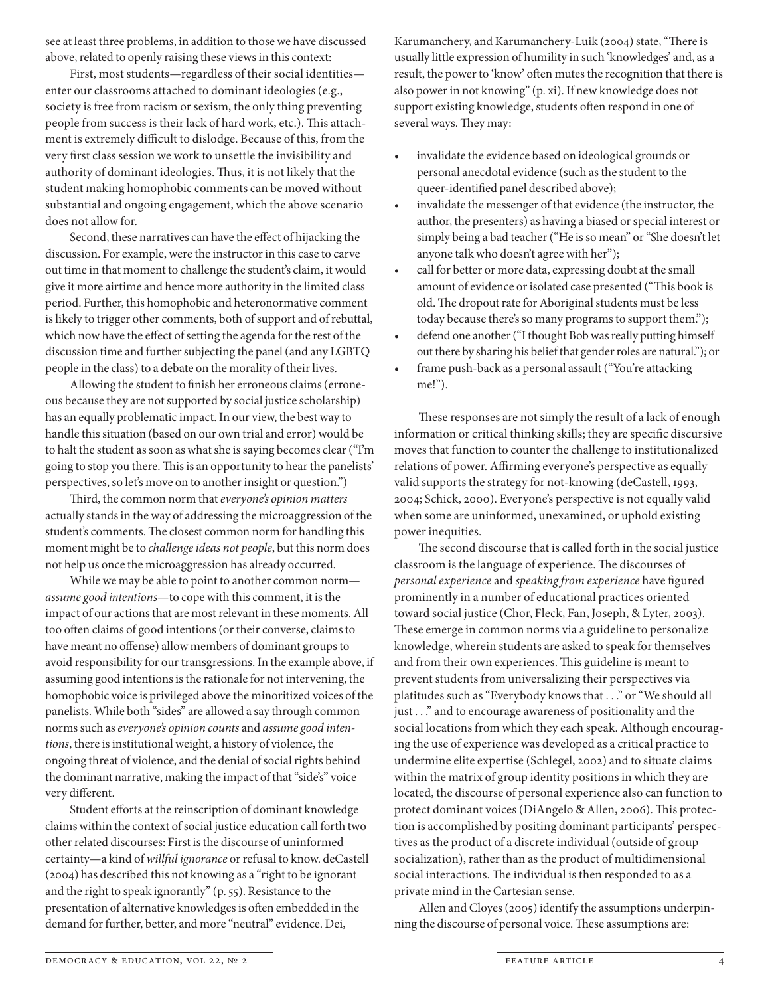see at least three problems, in addition to those we have discussed above, related to openly raising these views in this context:

First, most students—regardless of their social identities enter our classrooms attached to dominant ideologies (e.g., society is free from racism or sexism, the only thing preventing people from success is their lack of hard work, etc.). This attachment is extremely difficult to dislodge. Because of this, from the very frst class session we work to unsettle the invisibility and authority of dominant ideologies. Thus, it is not likely that the student making homophobic comments can be moved without substantial and ongoing engagement, which the above scenario does not allow for.

Second, these narratives can have the effect of hijacking the discussion. For example, were the instructor in this case to carve out time in that moment to challenge the student's claim, it would give it more airtime and hence more authority in the limited class period. Further, this homophobic and heteronormative comment is likely to trigger other comments, both of support and of rebuttal, which now have the efect of setting the agenda for the rest of the discussion time and further subjecting the panel (and any LGBTQ people in the class) to a debate on the morality of their lives.

Allowing the student to fnish her erroneous claims (erroneous because they are not supported by social justice scholarship) has an equally problematic impact. In our view, the best way to handle this situation (based on our own trial and error) would be to halt the student as soon as what she is saying becomes clear ("I'm going to stop you there. This is an opportunity to hear the panelists' perspectives, so let's move on to another insight or question.")

Tird, the common norm that *everyone's opinion matters* actually stands in the way of addressing the microaggression of the student's comments. The closest common norm for handling this moment might be to *challenge ideas not people*, but this norm does not help us once the microaggression has already occurred.

While we may be able to point to another common norm *assume good intentions*—to cope with this comment, it is the impact of our actions that are most relevant in these moments. All too ofen claims of good intentions (or their converse, claims to have meant no offense) allow members of dominant groups to avoid responsibility for our transgressions. In the example above, if assuming good intentions is the rationale for not intervening, the homophobic voice is privileged above the minoritized voices of the panelists. While both "sides" are allowed a say through common norms such as *everyone's opinion counts* and *assume good intentions*, there is institutional weight, a history of violence, the ongoing threat of violence, and the denial of social rights behind the dominant narrative, making the impact of that "side's" voice very diferent.

Student eforts at the reinscription of dominant knowledge claims within the context of social justice education call forth two other related discourses: First is the discourse of uninformed certainty—a kind of *willful ignorance* or refusal to know. deCastell (2004) has described this not knowing as a "right to be ignorant and the right to speak ignorantly" (p. 55). Resistance to the presentation of alternative knowledges is ofen embedded in the demand for further, better, and more "neutral" evidence. Dei,

Karumanchery, and Karumanchery-Luik (2004) state, "There is usually little expression of humility in such 'knowledges' and, as a result, the power to 'know' often mutes the recognition that there is also power in not knowing" (p. xi). If new knowledge does not support existing knowledge, students often respond in one of several ways. They may:

- invalidate the evidence based on ideological grounds or personal anecdotal evidence (such as the student to the queer-identifed panel described above);
- $\cdot$  invalidate the messenger of that evidence (the instructor, the author, the presenters) as having a biased or special interest or simply being a bad teacher ("He is so mean" or "She doesn't let anyone talk who doesn't agree with her");
- call for better or more data, expressing doubt at the small amount of evidence or isolated case presented ("This book is old. The dropout rate for Aboriginal students must be less today because there's so many programs to support them.");
- defend one another ("I thought Bob was really putting himself out there by sharing his belief that gender roles are natural."); or
- frame push-back as a personal assault ("You're attacking me!").

These responses are not simply the result of a lack of enough information or critical thinking skills; they are specifc discursive moves that function to counter the challenge to institutionalized relations of power. Affirming everyone's perspective as equally valid supports the strategy for not-knowing (deCastell, 1993, 2004; Schick, 2000). Everyone's perspective is not equally valid when some are uninformed, unexamined, or uphold existing power inequities.

The second discourse that is called forth in the social justice classroom is the language of experience. The discourses of *personal experience* and *speaking from experience* have fgured prominently in a number of educational practices oriented toward social justice (Chor, Fleck, Fan, Joseph, & Lyter, 2003). These emerge in common norms via a guideline to personalize knowledge, wherein students are asked to speak for themselves and from their own experiences. This guideline is meant to prevent students from universalizing their perspectives via platitudes such as "Everybody knows that . . ." or "We should all just . . ." and to encourage awareness of positionality and the social locations from which they each speak. Although encouraging the use of experience was developed as a critical practice to undermine elite expertise (Schlegel, 2002) and to situate claims within the matrix of group identity positions in which they are located, the discourse of personal experience also can function to protect dominant voices (DiAngelo & Allen, 2006). This protection is accomplished by positing dominant participants' perspectives as the product of a discrete individual (outside of group socialization), rather than as the product of multidimensional social interactions. The individual is then responded to as a private mind in the Cartesian sense.

Allen and Cloyes (2005) identify the assumptions underpinning the discourse of personal voice. These assumptions are: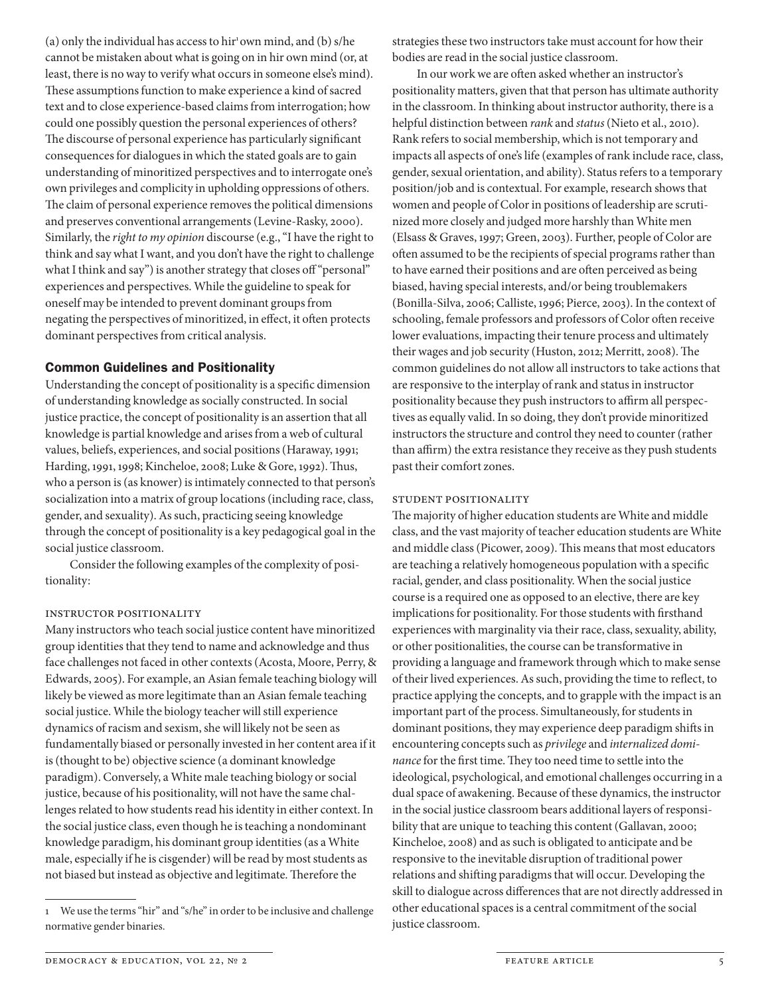(a) only the individual has access to hir<sup>1</sup>own mind, and (b) s/he cannot be mistaken about what is going on in hir own mind (or, at least, there is no way to verify what occurs in someone else's mind). These assumptions function to make experience a kind of sacred text and to close experience-based claims from interrogation; how could one possibly question the personal experiences of others? The discourse of personal experience has particularly significant consequences for dialogues in which the stated goals are to gain understanding of minoritized perspectives and to interrogate one's own privileges and complicity in upholding oppressions of others. The claim of personal experience removes the political dimensions and preserves conventional arrangements (Levine-Rasky, 2000). Similarly, the *right to my opinion* discourse (e.g., "I have the right to think and say what I want, and you don't have the right to challenge what I think and say") is another strategy that closes off "personal" experiences and perspectives. While the guideline to speak for oneself may be intended to prevent dominant groups from negating the perspectives of minoritized, in effect, it often protects dominant perspectives from critical analysis.

#### Common Guidelines and Positionality

Understanding the concept of positionality is a specifc dimension of understanding knowledge as socially constructed. In social justice practice, the concept of positionality is an assertion that all knowledge is partial knowledge and arises from a web of cultural values, beliefs, experiences, and social positions (Haraway, 1991; Harding, 1991, 1998; Kincheloe, 2008; Luke & Gore, 1992). Tus, who a person is (as knower) is intimately connected to that person's socialization into a matrix of group locations (including race, class, gender, and sexuality). As such, practicing seeing knowledge through the concept of positionality is a key pedagogical goal in the social justice classroom.

Consider the following examples of the complexity of positionality:

#### Instructor Positionality

Many instructors who teach social justice content have minoritized group identities that they tend to name and acknowledge and thus face challenges not faced in other contexts (Acosta, Moore, Perry, & Edwards, 2005). For example, an Asian female teaching biology will likely be viewed as more legitimate than an Asian female teaching social justice. While the biology teacher will still experience dynamics of racism and sexism, she will likely not be seen as fundamentally biased or personally invested in her content area if it is (thought to be) objective science (a dominant knowledge paradigm). Conversely, a White male teaching biology or social justice, because of his positionality, will not have the same challenges related to how students read his identity in either context. In the social justice class, even though he is teaching a nondominant knowledge paradigm, his dominant group identities (as a White male, especially if he is cisgender) will be read by most students as not biased but instead as objective and legitimate. Therefore the

strategies these two instructors take must account for how their bodies are read in the social justice classroom.

In our work we are often asked whether an instructor's positionality matters, given that that person has ultimate authority in the classroom. In thinking about instructor authority, there is a helpful distinction between *rank* and *status* (Nieto et al., 2010). Rank refers to social membership, which is not temporary and impacts all aspects of one's life (examples of rank include race, class, gender, sexual orientation, and ability). Status refers to a temporary position/job and is contextual. For example, research shows that women and people of Color in positions of leadership are scrutinized more closely and judged more harshly than White men (Elsass & Graves, 1997; Green, 2003). Further, people of Color are ofen assumed to be the recipients of special programs rather than to have earned their positions and are often perceived as being biased, having special interests, and/or being troublemakers (Bonilla-Silva, 2006; Calliste, 1996; Pierce, 2003). In the context of schooling, female professors and professors of Color often receive lower evaluations, impacting their tenure process and ultimately their wages and job security (Huston, 2012; Merritt, 2008). The common guidelines do not allow all instructors to take actions that are responsive to the interplay of rank and status in instructor positionality because they push instructors to affirm all perspectives as equally valid. In so doing, they don't provide minoritized instructors the structure and control they need to counter (rather than affirm) the extra resistance they receive as they push students past their comfort zones.

#### Student Positionality

The majority of higher education students are White and middle class, and the vast majority of teacher education students are White and middle class (Picower, 2009). This means that most educators are teaching a relatively homogeneous population with a specifc racial, gender, and class positionality. When the social justice course is a required one as opposed to an elective, there are key implications for positionality. For those students with frsthand experiences with marginality via their race, class, sexuality, ability, or other positionalities, the course can be transformative in providing a language and framework through which to make sense of their lived experiences. As such, providing the time to refect, to practice applying the concepts, and to grapple with the impact is an important part of the process. Simultaneously, for students in dominant positions, they may experience deep paradigm shifs in encountering concepts such as *privilege* and *internalized dominance* for the first time. They too need time to settle into the ideological, psychological, and emotional challenges occurring in a dual space of awakening. Because of these dynamics, the instructor in the social justice classroom bears additional layers of responsibility that are unique to teaching this content (Gallavan, 2000; Kincheloe, 2008) and as such is obligated to anticipate and be responsive to the inevitable disruption of traditional power relations and shifing paradigms that will occur. Developing the skill to dialogue across diferences that are not directly addressed in other educational spaces is a central commitment of the social justice classroom.

<sup>1</sup> We use the terms "hir" and "s/he" in order to be inclusive and challenge normative gender binaries.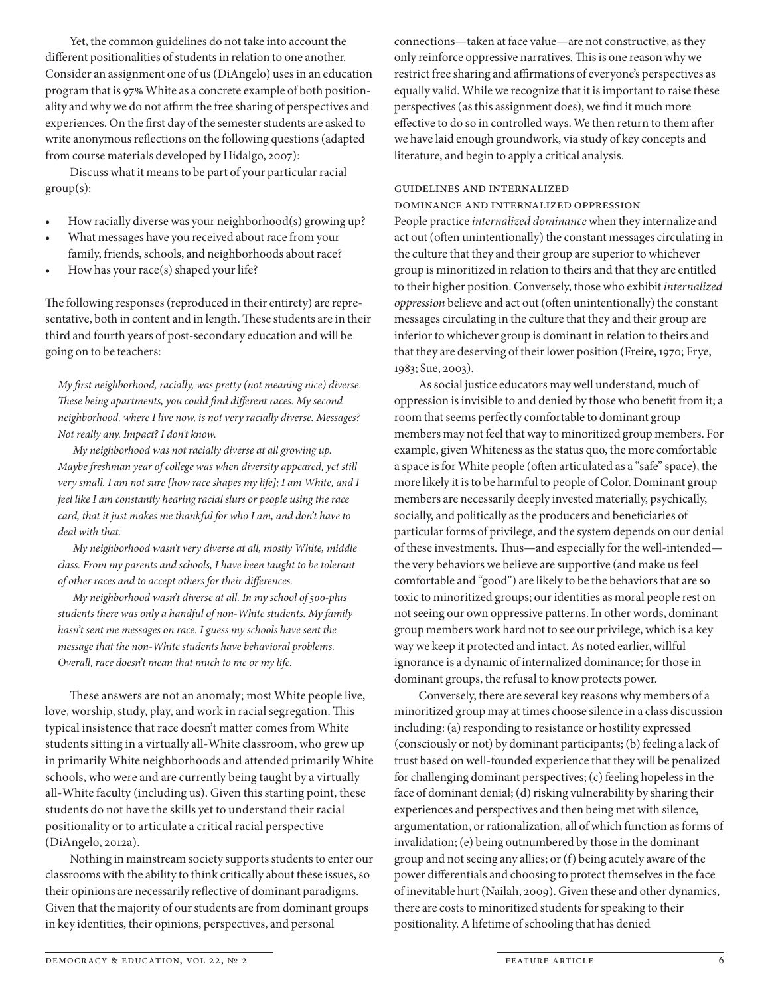Yet, the common guidelines do not take into account the diferent positionalities of students in relation to one another. Consider an assignment one of us (DiAngelo) uses in an education program that is 97% White as a concrete example of both positionality and why we do not afrm the free sharing of perspectives and experiences. On the frst day of the semester students are asked to write anonymous refections on the following questions (adapted from course materials developed by Hidalgo, 2007):

Discuss what it means to be part of your particular racial  $group(s)$ :

- How racially diverse was your neighborhood(s) growing up?
- What messages have you received about race from your family, friends, schools, and neighborhoods about race?
- How has your race(s) shaped your life?

The following responses (reproduced in their entirety) are representative, both in content and in length. These students are in their third and fourth years of post-secondary education and will be going on to be teachers:

*My* f*rst neighborhood, racially, was pretty (not meaning nice) diverse.*  T*ese being apartments, you could* f*nd di*f*erent races. My second neighborhood, where I live now, is not very racially diverse. Messages? Not really any. Impact? I don't know.*

*My neighborhood was not racially diverse at all growing up. Maybe freshman year of college was when diversity appeared, yet still very small. I am not sure [how race shapes my life]; I am White, and I feel like I am constantly hearing racial slurs or people using the race card, that it just makes me thankful for who I am, and don't have to deal with that.*

*My neighborhood wasn't very diverse at all, mostly White, middle class. From my parents and schools, I have been taught to be tolerant of other races and to accept others for their di*f*erences.*

*My neighborhood wasn't diverse at all. In my school of 500-plus students there was only a handful of non-White students. My family hasn't sent me messages on race. I guess my schools have sent the message that the non-White students have behavioral problems. Overall, race doesn't mean that much to me or my life.*

These answers are not an anomaly; most White people live, love, worship, study, play, and work in racial segregation. This typical insistence that race doesn't matter comes from White students sitting in a virtually all-White classroom, who grew up in primarily White neighborhoods and attended primarily White schools, who were and are currently being taught by a virtually all-White faculty (including us). Given this starting point, these students do not have the skills yet to understand their racial positionality or to articulate a critical racial perspective (DiAngelo, 2012a).

Nothing in mainstream society supports students to enter our classrooms with the ability to think critically about these issues, so their opinions are necessarily refective of dominant paradigms. Given that the majority of our students are from dominant groups in key identities, their opinions, perspectives, and personal

connections—taken at face value—are not constructive, as they only reinforce oppressive narratives. This is one reason why we restrict free sharing and affirmations of everyone's perspectives as equally valid. While we recognize that it is important to raise these perspectives (as this assignment does), we fnd it much more efective to do so in controlled ways. We then return to them afer we have laid enough groundwork, via study of key concepts and literature, and begin to apply a critical analysis.

#### Guidelines and Internalized

#### Dominance and Internalized Oppression

People practice *internalized dominance* when they internalize and act out (often unintentionally) the constant messages circulating in the culture that they and their group are superior to whichever group is minoritized in relation to theirs and that they are entitled to their higher position. Conversely, those who exhibit *internalized oppression* believe and act out (ofen unintentionally) the constant messages circulating in the culture that they and their group are inferior to whichever group is dominant in relation to theirs and that they are deserving of their lower position (Freire, 1970; Frye, 1983; Sue, 2003).

As social justice educators may well understand, much of oppression is invisible to and denied by those who beneft from it; a room that seems perfectly comfortable to dominant group members may not feel that way to minoritized group members. For example, given Whiteness as the status quo, the more comfortable a space is for White people (ofen articulated as a "safe" space), the more likely it is to be harmful to people of Color. Dominant group members are necessarily deeply invested materially, psychically, socially, and politically as the producers and benefciaries of particular forms of privilege, and the system depends on our denial of these investments. Thus—and especially for the well-intended the very behaviors we believe are supportive (and make us feel comfortable and "good") are likely to be the behaviors that are so toxic to minoritized groups; our identities as moral people rest on not seeing our own oppressive patterns. In other words, dominant group members work hard not to see our privilege, which is a key way we keep it protected and intact. As noted earlier, willful ignorance is a dynamic of internalized dominance; for those in dominant groups, the refusal to know protects power.

Conversely, there are several key reasons why members of a minoritized group may at times choose silence in a class discussion including: (a) responding to resistance or hostility expressed (consciously or not) by dominant participants; (b) feeling a lack of trust based on well-founded experience that they will be penalized for challenging dominant perspectives; (c) feeling hopeless in the face of dominant denial; (d) risking vulnerability by sharing their experiences and perspectives and then being met with silence, argumentation, or rationalization, all of which function as forms of invalidation; (e) being outnumbered by those in the dominant group and not seeing any allies; or (f) being acutely aware of the power diferentials and choosing to protect themselves in the face of inevitable hurt (Nailah, 2009). Given these and other dynamics, there are costs to minoritized students for speaking to their positionality. A lifetime of schooling that has denied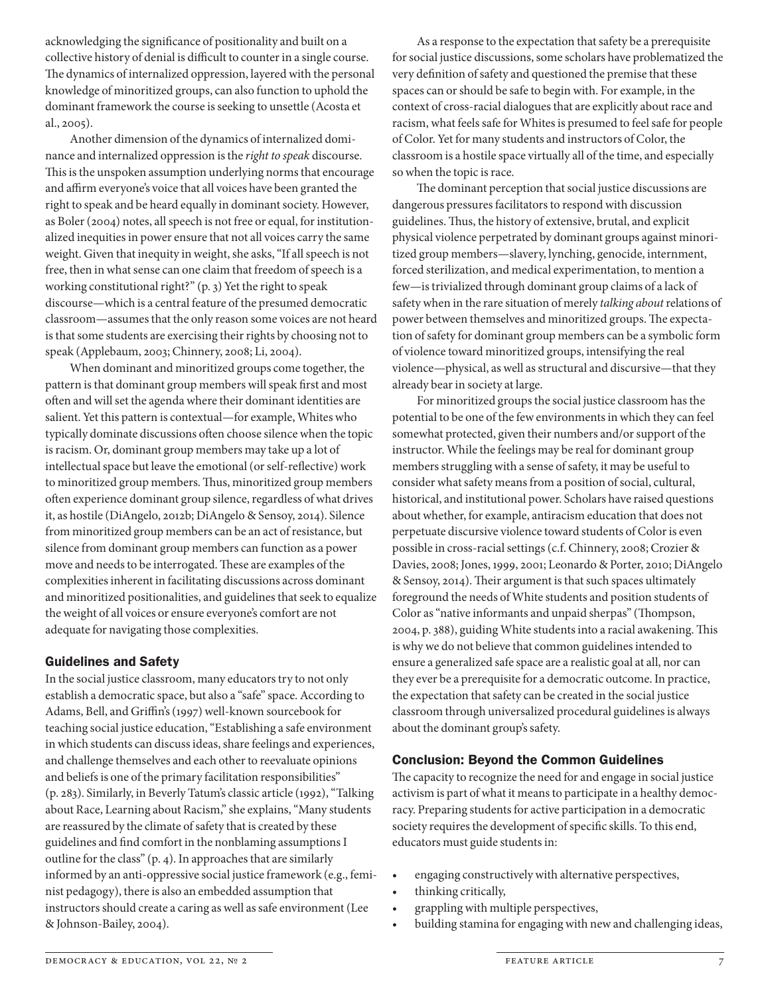acknowledging the signifcance of positionality and built on a collective history of denial is difficult to counter in a single course. The dynamics of internalized oppression, layered with the personal knowledge of minoritized groups, can also function to uphold the dominant framework the course is seeking to unsettle (Acosta et al., 2005).

Another dimension of the dynamics of internalized dominance and internalized oppression is the *right to speak* discourse. This is the unspoken assumption underlying norms that encourage and affirm everyone's voice that all voices have been granted the right to speak and be heard equally in dominant society. However, as Boler (2004) notes, all speech is not free or equal, for institutionalized inequities in power ensure that not all voices carry the same weight. Given that inequity in weight, she asks, "If all speech is not free, then in what sense can one claim that freedom of speech is a working constitutional right?" (p. 3) Yet the right to speak discourse—which is a central feature of the presumed democratic classroom—assumes that the only reason some voices are not heard is that some students are exercising their rights by choosing not to speak (Applebaum, 2003; Chinnery, 2008; Li, 2004).

When dominant and minoritized groups come together, the pattern is that dominant group members will speak frst and most ofen and will set the agenda where their dominant identities are salient. Yet this pattern is contextual—for example, Whites who typically dominate discussions ofen choose silence when the topic is racism. Or, dominant group members may take up a lot of intellectual space but leave the emotional (or self-refective) work to minoritized group members. Thus, minoritized group members ofen experience dominant group silence, regardless of what drives it, as hostile (DiAngelo, 2012b; DiAngelo & Sensoy, 2014). Silence from minoritized group members can be an act of resistance, but silence from dominant group members can function as a power move and needs to be interrogated. These are examples of the complexities inherent in facilitating discussions across dominant and minoritized positionalities, and guidelines that seek to equalize the weight of all voices or ensure everyone's comfort are not adequate for navigating those complexities.

## Guidelines and Safety

In the social justice classroom, many educators try to not only establish a democratic space, but also a "safe" space. According to Adams, Bell, and Grifn's (1997) well-known sourcebook for teaching social justice education, "Establishing a safe environment in which students can discuss ideas, share feelings and experiences, and challenge themselves and each other to reevaluate opinions and beliefs is one of the primary facilitation responsibilities" (p. 283). Similarly, in Beverly Tatum's classic article (1992), "Talking about Race, Learning about Racism," she explains, "Many students are reassured by the climate of safety that is created by these guidelines and fnd comfort in the nonblaming assumptions I outline for the class" (p. 4). In approaches that are similarly informed by an anti-oppressive social justice framework (e.g., feminist pedagogy), there is also an embedded assumption that instructors should create a caring as well as safe environment (Lee & Johnson-Bailey, 2004).

As a response to the expectation that safety be a prerequisite for social justice discussions, some scholars have problematized the very defnition of safety and questioned the premise that these spaces can or should be safe to begin with. For example, in the context of cross-racial dialogues that are explicitly about race and racism, what feels safe for Whites is presumed to feel safe for people of Color. Yet for many students and instructors of Color, the classroom is a hostile space virtually all of the time, and especially so when the topic is race.

The dominant perception that social justice discussions are dangerous pressures facilitators to respond with discussion guidelines. Thus, the history of extensive, brutal, and explicit physical violence perpetrated by dominant groups against minoritized group members-slavery, lynching, genocide, internment, forced sterilization, and medical experimentation, to mention a few-is trivialized through dominant group claims of a lack of safety when in the rare situation of merely *talking about* relations of power between themselves and minoritized groups. The expectation of safety for dominant group members can be a symbolic form of violence toward minoritized groups, intensifying the real violence—physical, as well as structural and discursive—that they already bear in society at large.

For minoritized groups the social justice classroom has the potential to be one of the few environments in which they can feel somewhat protected, given their numbers and/or support of the instructor. While the feelings may be real for dominant group members struggling with a sense of safety, it may be useful to consider what safety means from a position of social, cultural, historical, and institutional power. Scholars have raised questions about whether, for example, antiracism education that does not perpetuate discursive violence toward students of Color is even possible in cross-racial settings (c.f. Chinnery, 2008; Crozier & Davies, 2008; Jones, 1999, 2001; Leonardo & Porter, 2010; DiAngelo & Sensoy, 2014). Their argument is that such spaces ultimately foreground the needs of White students and position students of Color as "native informants and unpaid sherpas" (Thompson, 2004, p. 388), guiding White students into a racial awakening. This is why we do not believe that common guidelines intended to ensure a generalized safe space are a realistic goal at all, nor can they ever be a prerequisite for a democratic outcome. In practice, the expectation that safety can be created in the social justice classroom through universalized procedural guidelines is always about the dominant group's safety.

## Conclusion: Beyond the Common Guidelines

The capacity to recognize the need for and engage in social justice activism is part of what it means to participate in a healthy democracy. Preparing students for active participation in a democratic society requires the development of specifc skills. To this end, educators must guide students in:

- engaging constructively with alternative perspectives,
- thinking critically,
- grappling with multiple perspectives,
- building stamina for engaging with new and challenging ideas,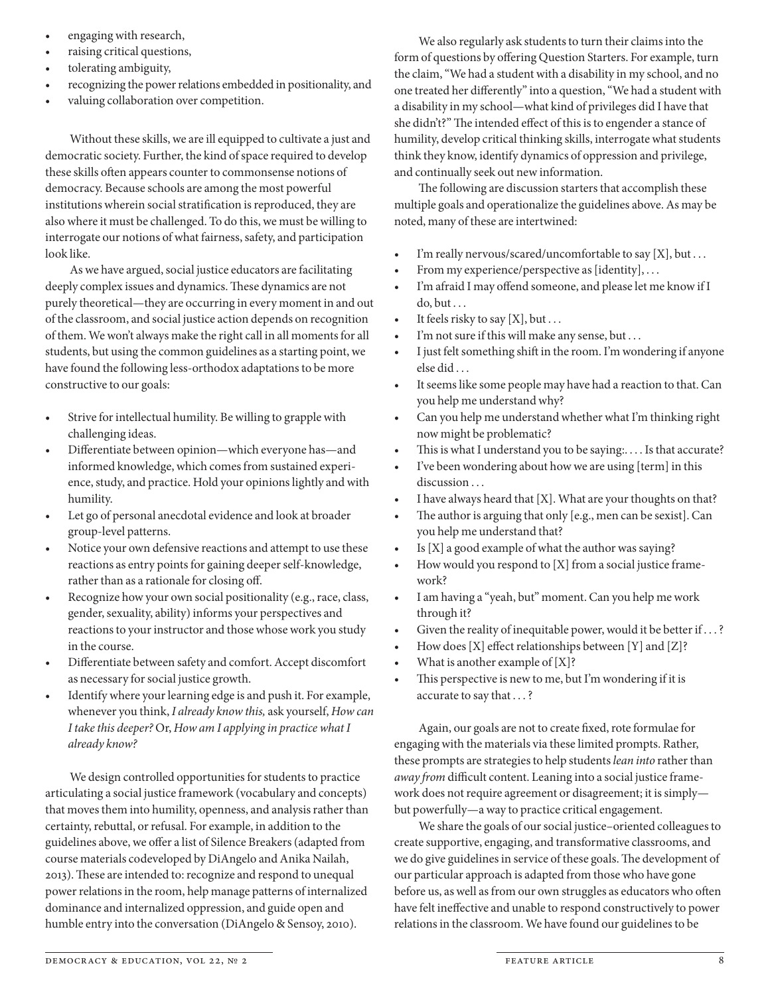- engaging with research,
- raising critical questions,
- tolerating ambiguity,
- recognizing the power relations embedded in positionality, and
- valuing collaboration over competition.

Without these skills, we are ill equipped to cultivate a just and democratic society. Further, the kind of space required to develop these skills often appears counter to commonsense notions of democracy. Because schools are among the most powerful institutions wherein social stratifcation is reproduced, they are also where it must be challenged. To do this, we must be willing to interrogate our notions of what fairness, safety, and participation look like.

As we have argued, social justice educators are facilitating deeply complex issues and dynamics. These dynamics are not purely theoretical—they are occurring in every moment in and out of the classroom, and social justice action depends on recognition of them. We won't always make the right call in all moments for all students, but using the common guidelines as a starting point, we have found the following less-orthodox adaptations to be more constructive to our goals:

- Strive for intellectual humility. Be willing to grapple with challenging ideas.
- Differentiate between opinion—which everyone has—and informed knowledge, which comes from sustained experience, study, and practice. Hold your opinions lightly and with humility.
- Let go of personal anecdotal evidence and look at broader group-level patterns.
- Notice your own defensive reactions and attempt to use these reactions as entry points for gaining deeper self-knowledge, rather than as a rationale for closing of.
- Recognize how your own social positionality (e.g., race, class, gender, sexuality, ability) informs your perspectives and reactions to your instructor and those whose work you study in the course.
- Differentiate between safety and comfort. Accept discomfort as necessary for social justice growth.
- Identify where your learning edge is and push it. For example, whenever you think, *I already know this,* ask yourself, *How can I take this deeper?* Or, *How am I applying in practice what I already know?*

We design controlled opportunities for students to practice articulating a social justice framework (vocabulary and concepts) that moves them into humility, openness, and analysis rather than certainty, rebuttal, or refusal. For example, in addition to the guidelines above, we ofer a list of Silence Breakers (adapted from course materials codeveloped by DiAngelo and Anika Nailah, 2013). These are intended to: recognize and respond to unequal power relations in the room, help manage patterns of internalized dominance and internalized oppression, and guide open and humble entry into the conversation (DiAngelo & Sensoy, 2010).

We also regularly ask students to turn their claims into the form of questions by offering Question Starters. For example, turn the claim, "We had a student with a disability in my school, and no one treated her diferently" into a question, "We had a student with a disability in my school—what kind of privileges did I have that she didn't?" The intended effect of this is to engender a stance of humility, develop critical thinking skills, interrogate what students think they know, identify dynamics of oppression and privilege, and continually seek out new information.

The following are discussion starters that accomplish these multiple goals and operationalize the guidelines above. As may be noted, many of these are intertwined:

- I'm really nervous/scared/uncomfortable to say  $[X]$ , but ...
- From my experience/perspective as [identity], ...
- I'm afraid I may offend someone, and please let me know if I do, but . . .
- It feels risky to say  $[X]$ , but ...
- $\bullet$  I'm not sure if this will make any sense, but ...
- I just felt something shift in the room. I'm wondering if anyone else did . . .
- It seems like some people may have had a reaction to that. Can you help me understand why?
- Can you help me understand whether what I'm thinking right now might be problematic?
- This is what I understand you to be saying:.... Is that accurate?
- I've been wondering about how we are using [term] in this discussion ...
- I have always heard that  $[X]$ . What are your thoughts on that?
- The author is arguing that only [e.g., men can be sexist]. Can you help me understand that?
- Is  $[X]$  a good example of what the author was saying?
- How would you respond to  $[X]$  from a social justice framework?
- I am having a "yeah, but" moment. Can you help me work through it?
- Given the reality of inequitable power, would it be better if ...?
- How does [X] effect relationships between [Y] and [Z]?
- What is another example of  $[X]$ ?
- This perspective is new to me, but I'm wondering if it is accurate to say that . . .?

Again, our goals are not to create fxed, rote formulae for engaging with the materials via these limited prompts. Rather, these prompts are strategies to help students *lean into* rather than *away from* difficult content. Leaning into a social justice framework does not require agreement or disagreement; it is simply but powerfully—a way to practice critical engagement.

We share the goals of our social justice–oriented colleagues to create supportive, engaging, and transformative classrooms, and we do give guidelines in service of these goals. The development of our particular approach is adapted from those who have gone before us, as well as from our own struggles as educators who ofen have felt inefective and unable to respond constructively to power relations in the classroom. We have found our guidelines to be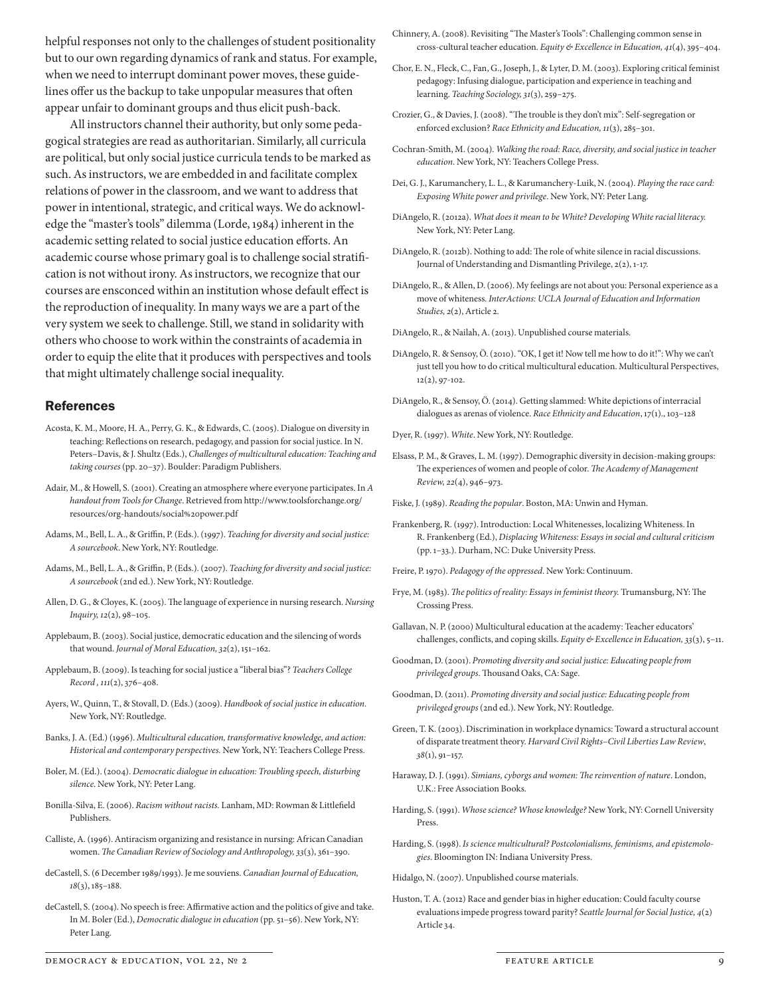helpful responses not only to the challenges of student positionality but to our own regarding dynamics of rank and status. For example, when we need to interrupt dominant power moves, these guidelines offer us the backup to take unpopular measures that often appear unfair to dominant groups and thus elicit push-back.

All instructors channel their authority, but only some pedagogical strategies are read as authoritarian. Similarly, all curricula are political, but only social justice curricula tends to be marked as such. As instructors, we are embedded in and facilitate complex relations of power in the classroom, and we want to address that power in intentional, strategic, and critical ways. We do acknowledge the "master's tools" dilemma (Lorde, 1984) inherent in the academic setting related to social justice education efforts. An academic course whose primary goal is to challenge social stratifcation is not without irony. As instructors, we recognize that our courses are ensconced within an institution whose default efect is the reproduction of inequality. In many ways we are a part of the very system we seek to challenge. Still, we stand in solidarity with others who choose to work within the constraints of academia in order to equip the elite that it produces with perspectives and tools that might ultimately challenge social inequality.

#### References

- Acosta, K. M., Moore, H. A., Perry, G. K., & Edwards, C. (2005). Dialogue on diversity in teaching: Refections on research, pedagogy, and passion for social justice. In N. Peters–Davis, & J. Shultz (Eds.), Challenges of multicultural education: Teaching and *taking courses* (pp. 20–37). Boulder: Paradigm Publishers.
- Adair, M., & Howell, S. (2001). Creating an atmosphere where everyone participates. In *A handout from Tools for Change*. Retrieved from http://www.toolsforchange.org/ resources/org-handouts/social%20power.pdf
- Adams, M., Bell, L. A., & Griffin, P. (Eds.). (1997). *Teaching for diversity and social justice: A sourcebook*. New York, NY: Routledge.
- Adams, M., Bell, L. A., & Griffin, P. (Eds.). (2007). *Teaching for diversity and social justice*: *A sourcebook* (2nd ed.). New York, NY: Routledge.
- Allen, D. G., & Cloyes, K. (2005). The language of experience in nursing research. *Nursing Inquiry,* 12(2), 98–105.
- Applebaum, B. (2003). Social justice, democratic education and the silencing of words that wound. *Journal of Moral Education,* 32(2), 151–162.
- Applebaum, B. (2009). Is teaching for social justice a "liberal bias"? *Teachers College Record ,* 111(2), 376–408.
- Ayers, W., Quinn, T., & Stovall, D. (Eds.) (2009). *Handbook of social justice in education.*  New York, NY: Routledge.
- Banks, J. A. (Ed.) (1996). *Multicultural education, transformative knowledge, and action: Historical and contemporary perspectives.* New York, NY: Teachers College Press.
- Boler, M. (Ed.). (2004). *Democratic dialogue in education: Troubling speech, disturbing silence*. New York, NY: Peter Lang.
- Bonilla-Silva, E. (2006). *Racism without racists.* Lanham, MD: Rowman & Littlefeld Publishers.
- Calliste, A. (1996). Antiracism organizing and resistance in nursing: African Canadian women. T*e Canadian Review of Sociology and Anthropology,* 33(3), 361–390.
- deCastell, S. (6 December 1989/1993). Je me souviens. *Canadian Journal of Education,* 18(3), 185–188.
- deCastell, S. (2004). No speech is free: Affirmative action and the politics of give and take. In M. Boler (Ed.), *Democratic dialogue in education* (pp. 51–56). New York, NY: Peter Lang.
- Chinnery, A. (2008). Revisiting "The Master's Tools": Challenging common sense in cross-cultural teacher education. *Equity & Excellence in Education,* 41(4), 395–404.
- Chor, E. N., Fleck, C., Fan, G., Joseph, J., & Lyter, D. M. (2003). Exploring critical feminist pedagogy: Infusing dialogue, participation and experience in teaching and learning. *Teaching Sociology,* 31(3), 259–275.
- Crozier, G., & Davies, J. (2008). "The trouble is they don't mix": Self-segregation or enforced exclusion? *Race Ethnicity and Education,* 11(3), 285–301.
- Cochran-Smith, M. (2004). *Walking the road: Race, diversity, and social justice in teacher education*. New York, NY: Teachers College Press.
- Dei, G. J., Karumanchery, L. L., & Karumanchery-Luik, N. (2004). *Playing the race card: Exposing White power and privilege*. New York, NY: Peter Lang.
- DiAngelo, R. (2012a). *What does it mean to be White? Developing White racial literacy.* New York, NY: Peter Lang.
- DiAngelo, R. (2012b). Nothing to add: The role of white silence in racial discussions. Journal of Understanding and Dismantling Privilege, 2(2), 1-17.
- DiAngelo, R., & Allen, D. (2006). My feelings are not about you: Personal experience as a move of whiteness. *InterActions: UCLA Journal of Education and Information Studies,* 2(2), Article 2.
- DiAngelo, R., & Nailah, A. (2013). Unpublished course materials.
- DiAngelo, R. & Sensoy, Ö. (2010). "OK, I get it! Now tell me how to do it!": Why we can't just tell you how to do critical multicultural education. Multicultural Perspectives, 12(2), 97-102.
- DiAngelo, R., & Sensoy, Ö. (2014). Getting slammed: White depictions of interracial dialogues as arenas of violence. *Race Ethnicity and Education*, 17(1)., 103–128
- Dyer, R. (1997). *White*. New York, NY: Routledge.
- Elsass, P. M., & Graves, L. M. (1997). Demographic diversity in decision-making groups: The experiences of women and people of color. The Academy of Management *Review,* 22(4), 946–973.
- Fiske, J. (1989). *Reading the popular*. Boston, MA: Unwin and Hyman.
- Frankenberg, R. (1997). Introduction: Local Whitenesses, localizing Whiteness. In R. Frankenberg (Ed.), *Displacing Whiteness: Essays in social and cultural criticism* (pp. 1–33.). Durham, NC: Duke University Press.
- Freire, P. 1970). *Pedagogy of the oppressed*. New York: Continuum.
- Frye, M. (1983). *The politics of reality: Essays in feminist theory*. Trumansburg, NY: The Crossing Press.
- Gallavan, N. P. (2000) Multicultural education at the academy: Teacher educators' challenges, conficts, and coping skills. *Equity & Excellence in Education,* 33(3), 5–11.
- Goodman, D. (2001). *Promoting diversity and social justice: Educating people from*  privileged groups. Thousand Oaks, CA: Sage.
- Goodman, D. (2011). *Promoting diversity and social justice: Educating people from privileged groups* (2nd ed.). New York, NY: Routledge.
- Green, T. K. (2003). Discrimination in workplace dynamics: Toward a structural account of disparate treatment theory. *Harvard Civil Rights*–*Civil Liberties Law Review*, 38(1), 91–157.
- Haraway, D. J. (1991). *Simians, cyborgs and women:* T*e reinvention of nature*. London, U.K.: Free Association Books.
- Harding, S. (1991). *Whose science? Whose knowledge?* New York, NY: Cornell University Press.
- Harding, S. (1998). *Is science multicultural? Postcolonialisms, feminisms, and epistemologies*. Bloomington IN: Indiana University Press.

Hidalgo, N. (2007). Unpublished course materials.

Huston, T. A. (2012) Race and gender bias in higher education: Could faculty course evaluations impede progress toward parity? *Seattle Journal for Social Justice,* 4(2) Article 34.